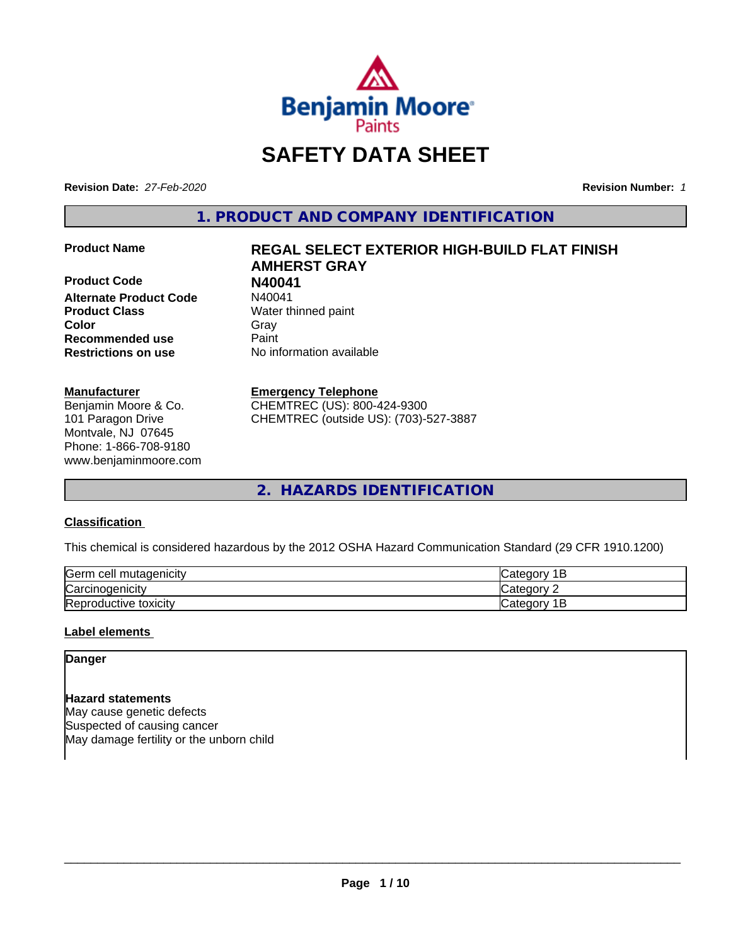

# **SAFETY DATA SHEET**

**Revision Date:** *27-Feb-2020* **Revision Number:** *1*

**1. PRODUCT AND COMPANY IDENTIFICATION**

**Product Code N40041 Alternate Product Code Product Class** Water thinned paint **Color** Gray Gray **Recommended use Caint Restrictions on use** No information available

# **Manufacturer**

Benjamin Moore & Co. 101 Paragon Drive Montvale, NJ 07645 Phone: 1-866-708-9180 www.benjaminmoore.com

# **Product Name REGAL SELECT EXTERIOR HIGH-BUILD FLAT FINISH AMHERST GRAY**

# **Emergency Telephone**

CHEMTREC (US): 800-424-9300 CHEMTREC (outside US): (703)-527-3887

**2. HAZARDS IDENTIFICATION**

# **Classification**

This chemical is considered hazardous by the 2012 OSHA Hazard Communication Standard (29 CFR 1910.1200)

| <b>Serm</b><br>ı cell mutaqenicitv     | $\sim$ $\sim$ $\sim$<br>$\sim$ $\sim$<br>101<br>ــ    |
|----------------------------------------|-------------------------------------------------------|
| ⌒<br>arcır. ن<br><i>r</i> cinoaenicity | $\sim$ $\sim$ $\sim$ $\sim$ $\sim$<br>ำ่า+′<br>10     |
| Reproductive toxicity                  | . .<br>$\sim$ dl $e$ 00 <sup>n</sup> ' $\degree$<br>- |

# **Label elements**

**Danger**

**Hazard statements** May cause genetic defects Suspected of causing cancer May damage fertility or the unborn child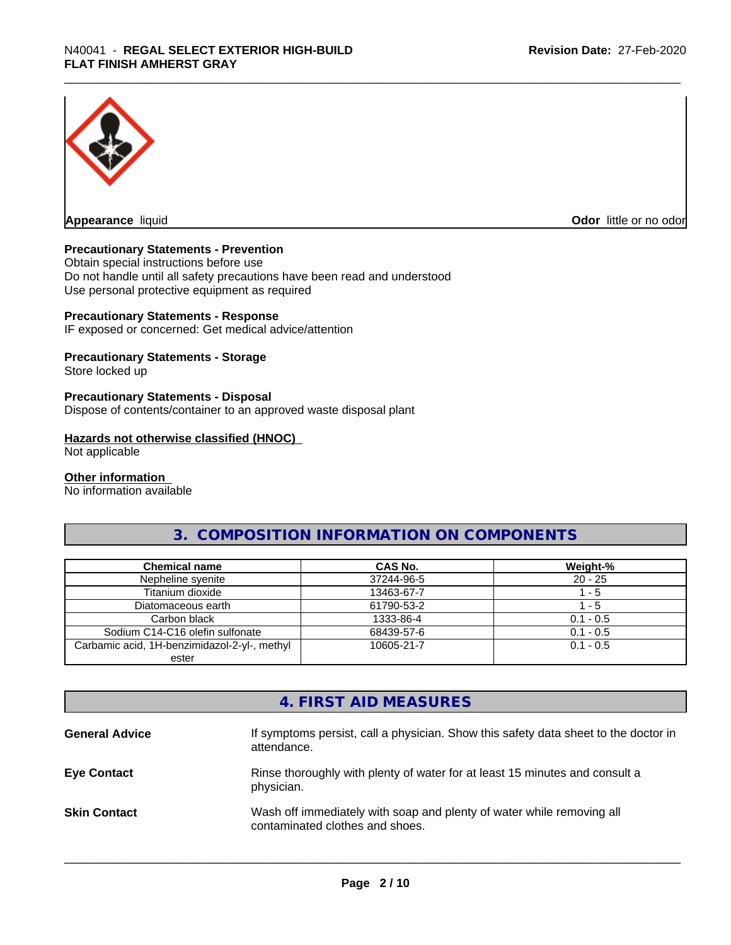

**Appearance** liquid **Odor in the original of the original of the original of the original of the original of the original of the original of the original of the original of the original of the original of the original of t** 

# **Precautionary Statements - Prevention**

Obtain special instructions before use Do not handle until all safety precautions have been read and understood Use personal protective equipment as required

# **Precautionary Statements - Response**

IF exposed or concerned: Get medical advice/attention

# **Precautionary Statements - Storage**

Store locked up

# **Precautionary Statements - Disposal**

Dispose of contents/container to an approved waste disposal plant

#### **Hazards not otherwise classified (HNOC)**

Not applicable

#### **Other information**

No information available

# **3. COMPOSITION INFORMATION ON COMPONENTS**

| <b>Chemical name</b>                         | CAS No.    | Weight-%    |
|----------------------------------------------|------------|-------------|
| Nepheline syenite                            | 37244-96-5 | $20 - 25$   |
| Titanium dioxide                             | 13463-67-7 | $-5$        |
| Diatomaceous earth                           | 61790-53-2 | $-5$        |
| Carbon black                                 | 1333-86-4  | $0.1 - 0.5$ |
| Sodium C14-C16 olefin sulfonate              | 68439-57-6 | $0.1 - 0.5$ |
| Carbamic acid, 1H-benzimidazol-2-yl-, methyl | 10605-21-7 | $0.1 - 0.5$ |
| ester                                        |            |             |

# **4. FIRST AID MEASURES**

| <b>General Advice</b> | If symptoms persist, call a physician. Show this safety data sheet to the doctor in<br>attendance.       |
|-----------------------|----------------------------------------------------------------------------------------------------------|
| <b>Eye Contact</b>    | Rinse thoroughly with plenty of water for at least 15 minutes and consult a<br>physician.                |
| <b>Skin Contact</b>   | Wash off immediately with soap and plenty of water while removing all<br>contaminated clothes and shoes. |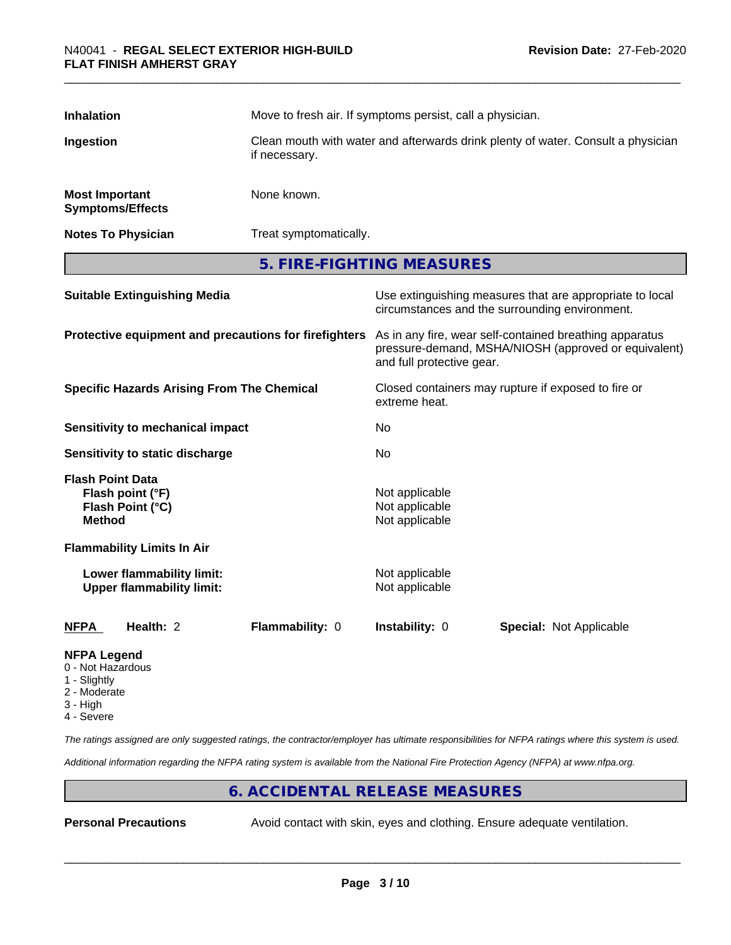| <b>Inhalation</b>                                                                |                                                       | Move to fresh air. If symptoms persist, call a physician.                                                                                    |  |  |  |
|----------------------------------------------------------------------------------|-------------------------------------------------------|----------------------------------------------------------------------------------------------------------------------------------------------|--|--|--|
| Ingestion                                                                        | if necessary.                                         | Clean mouth with water and afterwards drink plenty of water. Consult a physician                                                             |  |  |  |
| <b>Most Important</b><br><b>Symptoms/Effects</b>                                 | None known.                                           |                                                                                                                                              |  |  |  |
| <b>Notes To Physician</b>                                                        |                                                       | Treat symptomatically.                                                                                                                       |  |  |  |
|                                                                                  |                                                       | 5. FIRE-FIGHTING MEASURES                                                                                                                    |  |  |  |
| <b>Suitable Extinguishing Media</b>                                              |                                                       | Use extinguishing measures that are appropriate to local<br>circumstances and the surrounding environment.                                   |  |  |  |
|                                                                                  | Protective equipment and precautions for firefighters | As in any fire, wear self-contained breathing apparatus<br>pressure-demand, MSHA/NIOSH (approved or equivalent)<br>and full protective gear. |  |  |  |
| <b>Specific Hazards Arising From The Chemical</b>                                |                                                       | Closed containers may rupture if exposed to fire or<br>extreme heat.                                                                         |  |  |  |
| <b>Sensitivity to mechanical impact</b>                                          |                                                       | No.                                                                                                                                          |  |  |  |
| Sensitivity to static discharge                                                  |                                                       | No                                                                                                                                           |  |  |  |
| <b>Flash Point Data</b><br>Flash point (°F)<br>Flash Point (°C)<br><b>Method</b> |                                                       | Not applicable<br>Not applicable<br>Not applicable                                                                                           |  |  |  |
| <b>Flammability Limits In Air</b>                                                |                                                       |                                                                                                                                              |  |  |  |
| Lower flammability limit:<br><b>Upper flammability limit:</b>                    |                                                       | Not applicable<br>Not applicable                                                                                                             |  |  |  |
| Health: 2<br><b>NFPA</b>                                                         | Flammability: 0                                       | Instability: 0<br><b>Special: Not Applicable</b>                                                                                             |  |  |  |
| <b>NFPA Legend</b><br>0 - Not Hazardous<br>1 Cliabth                             |                                                       |                                                                                                                                              |  |  |  |

- Slightly
- 2 Moderate
- 3 High
- 4 Severe

*The ratings assigned are only suggested ratings, the contractor/employer has ultimate responsibilities for NFPA ratings where this system is used.*

*Additional information regarding the NFPA rating system is available from the National Fire Protection Agency (NFPA) at www.nfpa.org.*

# **6. ACCIDENTAL RELEASE MEASURES**

**Personal Precautions** Avoid contact with skin, eyes and clothing. Ensure adequate ventilation.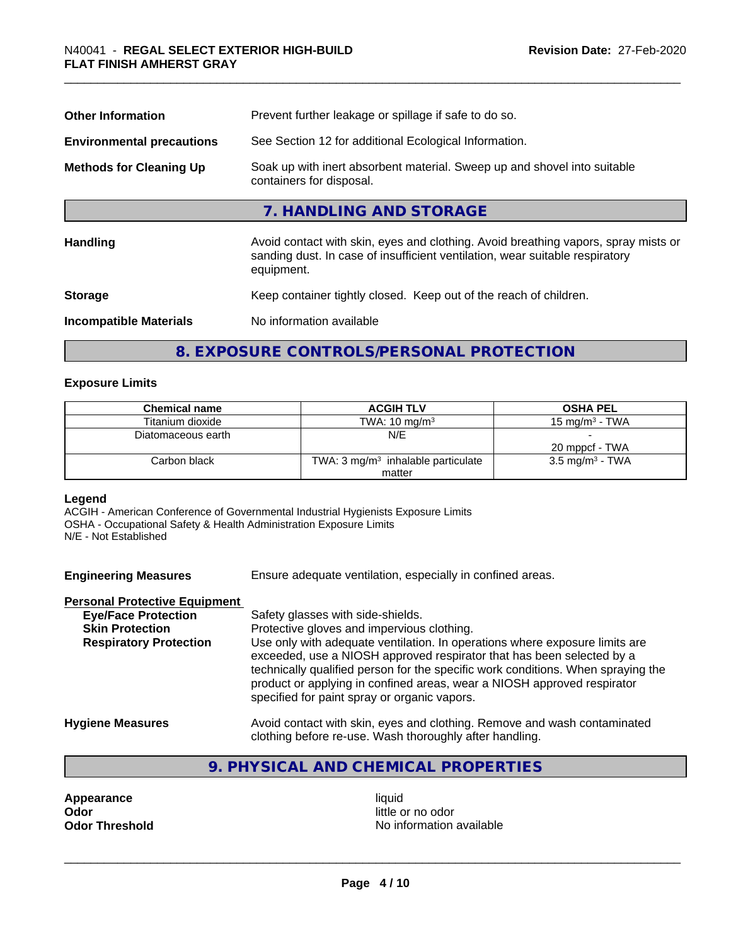| <b>Other Information</b>         | Prevent further leakage or spillage if safe to do so.                                                                                                                            |  |  |
|----------------------------------|----------------------------------------------------------------------------------------------------------------------------------------------------------------------------------|--|--|
| <b>Environmental precautions</b> | See Section 12 for additional Ecological Information.                                                                                                                            |  |  |
| <b>Methods for Cleaning Up</b>   | Soak up with inert absorbent material. Sweep up and shovel into suitable<br>containers for disposal.                                                                             |  |  |
|                                  | 7. HANDLING AND STORAGE                                                                                                                                                          |  |  |
| <b>Handling</b>                  | Avoid contact with skin, eyes and clothing. Avoid breathing vapors, spray mists or<br>sanding dust. In case of insufficient ventilation, wear suitable respiratory<br>equipment. |  |  |
| <b>Storage</b>                   | Keep container tightly closed. Keep out of the reach of children.                                                                                                                |  |  |
| <b>Incompatible Materials</b>    | No information available                                                                                                                                                         |  |  |
|                                  |                                                                                                                                                                                  |  |  |

# **8. EXPOSURE CONTROLS/PERSONAL PROTECTION**

# **Exposure Limits**

| <b>Chemical name</b> | <b>ACGIH TLV</b>                              | <b>OSHA PEL</b>            |
|----------------------|-----------------------------------------------|----------------------------|
| Titanium dioxide     | TWA: $10 \text{ mg/m}^3$                      | 15 mg/m $3$ - TWA          |
| Diatomaceous earth   | N/E                                           |                            |
|                      |                                               | 20 mppcf - TWA             |
| Carbon black         | TWA: $3 \text{ mg/m}^3$ inhalable particulate | $3.5 \text{ mg/m}^3$ - TWA |
|                      | matter                                        |                            |

# **Legend**

ACGIH - American Conference of Governmental Industrial Hygienists Exposure Limits OSHA - Occupational Safety & Health Administration Exposure Limits N/E - Not Established

**Engineering Measures** Ensure adequate ventilation, especially in confined areas.

# **Personal Protective Equipment**

| <b>Eye/Face Protection</b>    | Safety glasses with side-shields.                                                                                                                                                                                                                                                                                                                                   |
|-------------------------------|---------------------------------------------------------------------------------------------------------------------------------------------------------------------------------------------------------------------------------------------------------------------------------------------------------------------------------------------------------------------|
| <b>Skin Protection</b>        | Protective gloves and impervious clothing.                                                                                                                                                                                                                                                                                                                          |
| <b>Respiratory Protection</b> | Use only with adequate ventilation. In operations where exposure limits are<br>exceeded, use a NIOSH approved respirator that has been selected by a<br>technically qualified person for the specific work conditions. When spraying the<br>product or applying in confined areas, wear a NIOSH approved respirator<br>specified for paint spray or organic vapors. |
| <b>Hygiene Measures</b>       | Avoid contact with skin, eyes and clothing. Remove and wash contaminated                                                                                                                                                                                                                                                                                            |

- clothing before re-use. Wash thoroughly after handling.
- **9. PHYSICAL AND CHEMICAL PROPERTIES**

**Appearance** liquid **and a limitation of the contract of the contract of the contract of the contract of the contract of the contract of the contract of the contract of the contract of the contract of the contract of the c** 

little or no odor **Odor Threshold** No information available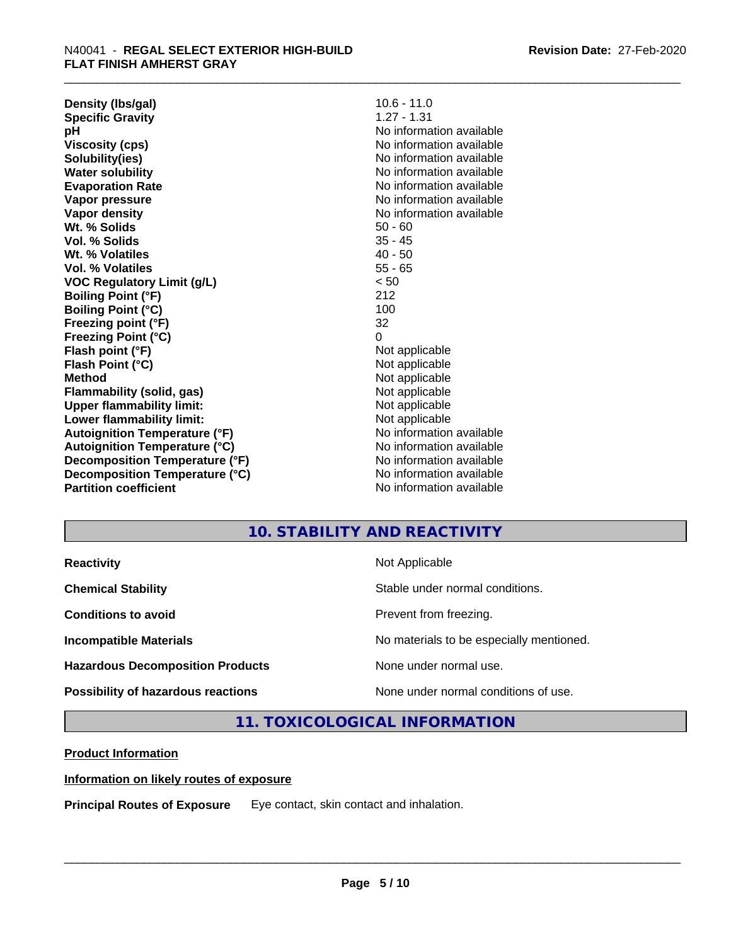**Density (lbs/gal)** 10.6 - 11.0<br> **Specific Gravity** 1.27 - 1.31 **Specific Gravity pH** No information available **Viscosity (cps)** No information available **Solubility(ies)** No information available **Water solubility** No information available **Evaporation Rate** Note 2008 and 2009 No information available **Vapor pressure** No information available in the North American Monte available in the North American available **Vapor density** No information available values and values of  $\alpha$  No information available **Wt. % Solids** 50 - 60 **Vol. % Solids** 35 - 45 **Wt. % Volatiles** 40 - 50 **Vol. % Volatiles** 55 - 65 **VOC Regulatory Limit (g/L)** < 50 **Boiling Point (°F)** 212 **Boiling Point**  $(^{\circ}C)$  100 **Freezing point (°F)** 32 **Freezing Point (°C)** 0 **Flash point (°F)**<br> **Flash Point (°C)**<br> **Flash Point (°C)**<br> **C Flash Point (°C) Method** Not applicable **Flammability (solid, gas)** Not applicable **Upper flammability limit:**<br> **Lower flammability limit:**<br>
Not applicable<br>
Not applicable **Lower flammability limit:**<br> **Autoignition Temperature (°F)** Not applicable havailable available **Autoignition Temperature (°F)**<br> **Autoignition Temperature (°C)** No information available **Autoignition Temperature (°C) Decomposition Temperature (°F)** No information available **Decomposition Temperature (°C)**<br> **Partition coefficient**<br> **Partition coefficient**<br> **No** information available

**No information available** 

# **10. STABILITY AND REACTIVITY**

| <b>Reactivity</b>                       | Not Applicable                           |
|-----------------------------------------|------------------------------------------|
| <b>Chemical Stability</b>               | Stable under normal conditions.          |
| <b>Conditions to avoid</b>              | Prevent from freezing.                   |
| <b>Incompatible Materials</b>           | No materials to be especially mentioned. |
| <b>Hazardous Decomposition Products</b> | None under normal use.                   |
| Possibility of hazardous reactions      | None under normal conditions of use.     |

**11. TOXICOLOGICAL INFORMATION**

# **Product Information**

# **Information on likely routes of exposure**

**Principal Routes of Exposure** Eye contact, skin contact and inhalation.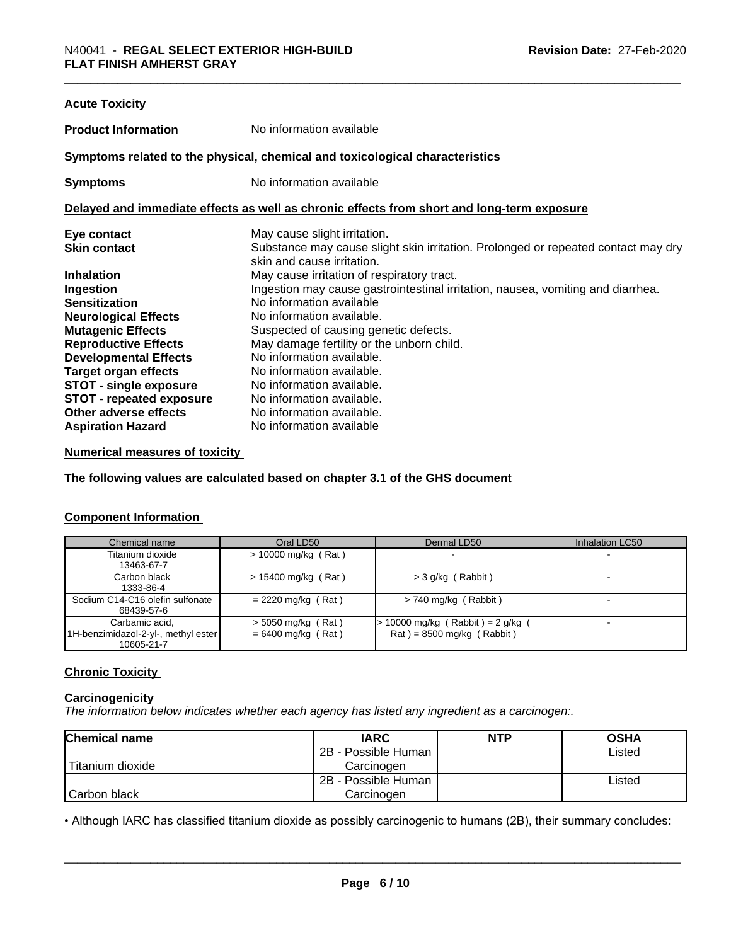| <b>Acute Toxicity</b>           |                                                                                            |
|---------------------------------|--------------------------------------------------------------------------------------------|
| <b>Product Information</b>      | No information available                                                                   |
|                                 | Symptoms related to the physical, chemical and toxicological characteristics               |
| <b>Symptoms</b>                 | No information available                                                                   |
|                                 | Delayed and immediate effects as well as chronic effects from short and long-term exposure |
| Eye contact                     | May cause slight irritation.                                                               |
| <b>Skin contact</b>             | Substance may cause slight skin irritation. Prolonged or repeated contact may dry          |
|                                 | skin and cause irritation.                                                                 |
| <b>Inhalation</b>               | May cause irritation of respiratory tract.                                                 |
| Ingestion                       | Ingestion may cause gastrointestinal irritation, nausea, vomiting and diarrhea.            |
| <b>Sensitization</b>            | No information available                                                                   |
| <b>Neurological Effects</b>     | No information available.                                                                  |
| <b>Mutagenic Effects</b>        | Suspected of causing genetic defects.                                                      |
| <b>Reproductive Effects</b>     | May damage fertility or the unborn child.                                                  |
| <b>Developmental Effects</b>    | No information available.                                                                  |
| <b>Target organ effects</b>     | No information available.                                                                  |
| <b>STOT - single exposure</b>   | No information available.                                                                  |
| <b>STOT - repeated exposure</b> | No information available.                                                                  |
| Other adverse effects           | No information available.                                                                  |
| <b>Aspiration Hazard</b>        | No information available                                                                   |

# **Numerical measures of toxicity**

**The following values are calculated based on chapter 3.1 of the GHS document**

# **Component Information**

| Chemical name                       | Oral LD50             | Dermal LD50                       | Inhalation LC50 |
|-------------------------------------|-----------------------|-----------------------------------|-----------------|
| Titanium dioxide                    | $>$ 10000 mg/kg (Rat) |                                   |                 |
| 13463-67-7                          |                       |                                   |                 |
| Carbon black                        | $> 15400$ mg/kg (Rat) | $>$ 3 g/kg (Rabbit)               |                 |
| 1333-86-4                           |                       |                                   |                 |
| Sodium C14-C16 olefin sulfonate     | $= 2220$ mg/kg (Rat)  | $> 740$ mg/kg (Rabbit)            |                 |
| 68439-57-6                          |                       |                                   |                 |
| Carbamic acid,                      | $>$ 5050 mg/kg (Rat)  | $> 10000$ mg/kg (Rabbit) = 2 g/kg |                 |
| 1H-benzimidazol-2-yl-, methyl ester | $= 6400$ mg/kg (Rat)  | $Rat$ = 8500 mg/kg (Rabbit)       |                 |
| 10605-21-7                          |                       |                                   |                 |

# **Chronic Toxicity**

# **Carcinogenicity**

*The information below indicateswhether each agency has listed any ingredient as a carcinogen:.*

| <b>Chemical name</b> | <b>IARC</b>         | <b>NTP</b> | <b>OSHA</b> |
|----------------------|---------------------|------------|-------------|
|                      | 2B - Possible Human |            | Listed      |
| Titanium dioxide     | Carcinoɑen          |            |             |
|                      | 2B - Possible Human |            | Listed      |
| Carbon black         | Carcinogen          |            |             |

• Although IARC has classified titanium dioxide as possibly carcinogenic to humans (2B), their summary concludes:<br> **Page 6/10**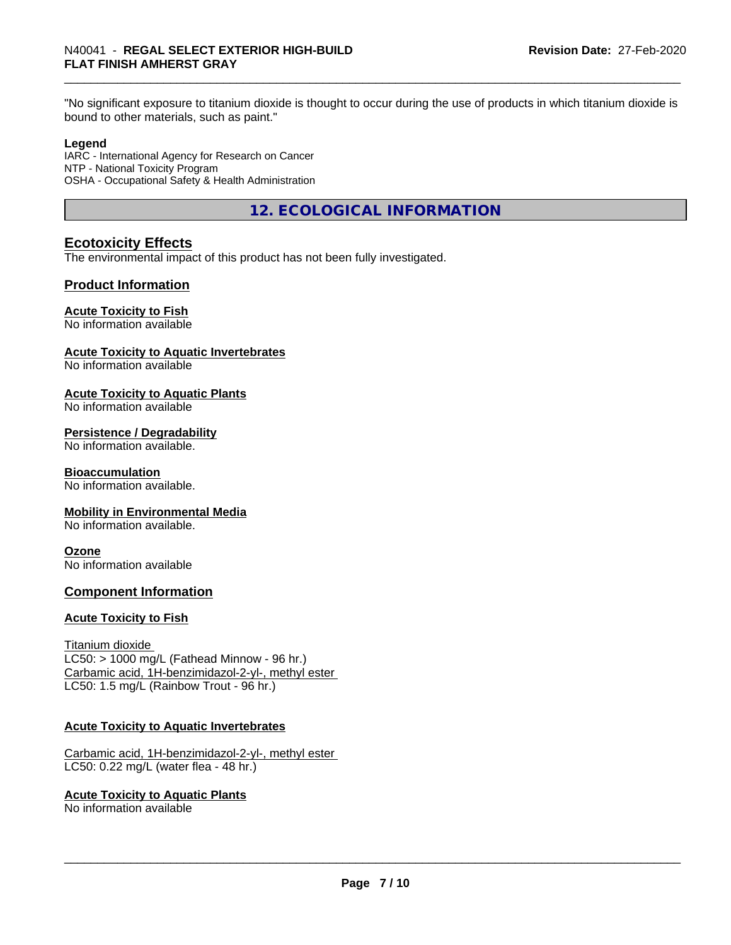"No significant exposure to titanium dioxide is thought to occur during the use of products in which titanium dioxide is bound to other materials, such as paint."

# **Legend**

IARC - International Agency for Research on Cancer NTP - National Toxicity Program OSHA - Occupational Safety & Health Administration

**12. ECOLOGICAL INFORMATION**

# **Ecotoxicity Effects**

The environmental impact of this product has not been fully investigated.

# **Product Information**

# **Acute Toxicity to Fish**

No information available

# **Acute Toxicity to Aquatic Invertebrates**

No information available

# **Acute Toxicity to Aquatic Plants**

No information available

# **Persistence / Degradability**

No information available.

# **Bioaccumulation**

No information available.

# **Mobility in Environmental Media**

No information available.

# **Ozone**

No information available

# **Component Information**

# **Acute Toxicity to Fish**

Titanium dioxide  $LC50:$  > 1000 mg/L (Fathead Minnow - 96 hr.) Carbamic acid, 1H-benzimidazol-2-yl-, methyl ester LC50: 1.5 mg/L (Rainbow Trout - 96 hr.)

# **Acute Toxicity to Aquatic Invertebrates**

Carbamic acid, 1H-benzimidazol-2-yl-, methyl ester LC50: 0.22 mg/L (water flea - 48 hr.)

# **Acute Toxicity to Aquatic Plants**

No information available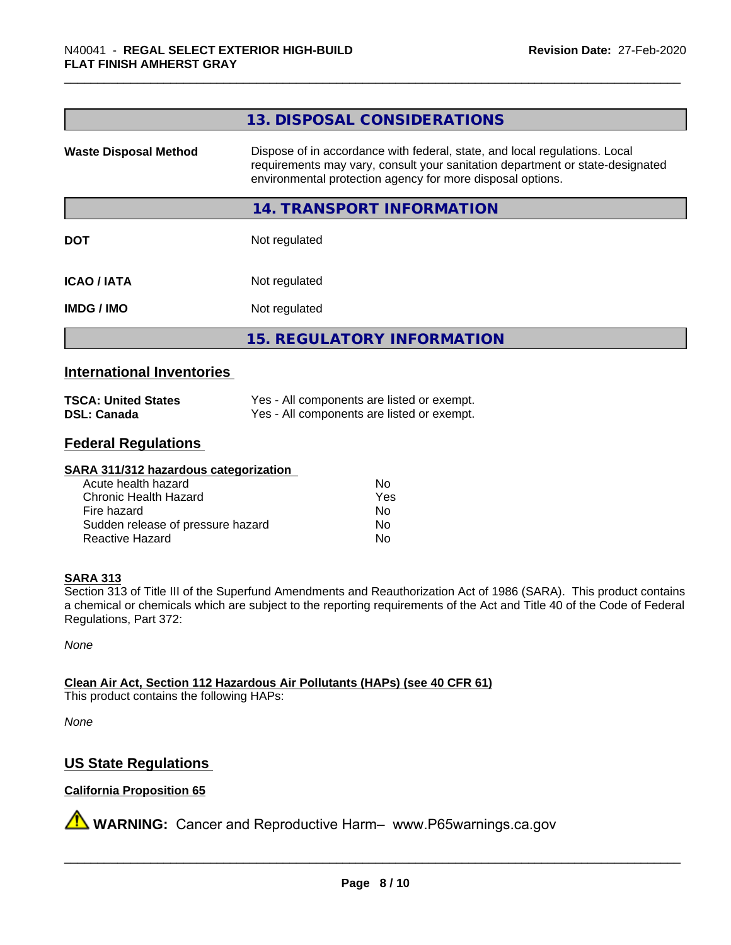| 13. DISPOSAL CONSIDERATIONS                                                                                                                                                                                               |
|---------------------------------------------------------------------------------------------------------------------------------------------------------------------------------------------------------------------------|
| Dispose of in accordance with federal, state, and local regulations. Local<br>requirements may vary, consult your sanitation department or state-designated<br>environmental protection agency for more disposal options. |
| 14. TRANSPORT INFORMATION                                                                                                                                                                                                 |
| Not regulated                                                                                                                                                                                                             |
| Not regulated                                                                                                                                                                                                             |
| Not regulated                                                                                                                                                                                                             |
| <b>15. REGULATORY INFORMATION</b>                                                                                                                                                                                         |
|                                                                                                                                                                                                                           |

# **International Inventories**

| <b>TSCA: United States</b> | Yes - All components are listed or exempt. |
|----------------------------|--------------------------------------------|
| <b>DSL: Canada</b>         | Yes - All components are listed or exempt. |

# **Federal Regulations**

#### **SARA 311/312 hazardous categorization**

| Acute health hazard               | Nο  |
|-----------------------------------|-----|
| Chronic Health Hazard             | Yes |
| Fire hazard                       | Nο  |
| Sudden release of pressure hazard | N٥  |
| Reactive Hazard                   | N٥  |

# **SARA 313**

Section 313 of Title III of the Superfund Amendments and Reauthorization Act of 1986 (SARA). This product contains a chemical or chemicals which are subject to the reporting requirements of the Act and Title 40 of the Code of Federal Regulations, Part 372:

*None*

**Clean Air Act,Section 112 Hazardous Air Pollutants (HAPs) (see 40 CFR 61)**

This product contains the following HAPs:

*None*

# **US State Regulations**

# **California Proposition 65**

**A** WARNING: Cancer and Reproductive Harm– www.P65warnings.ca.gov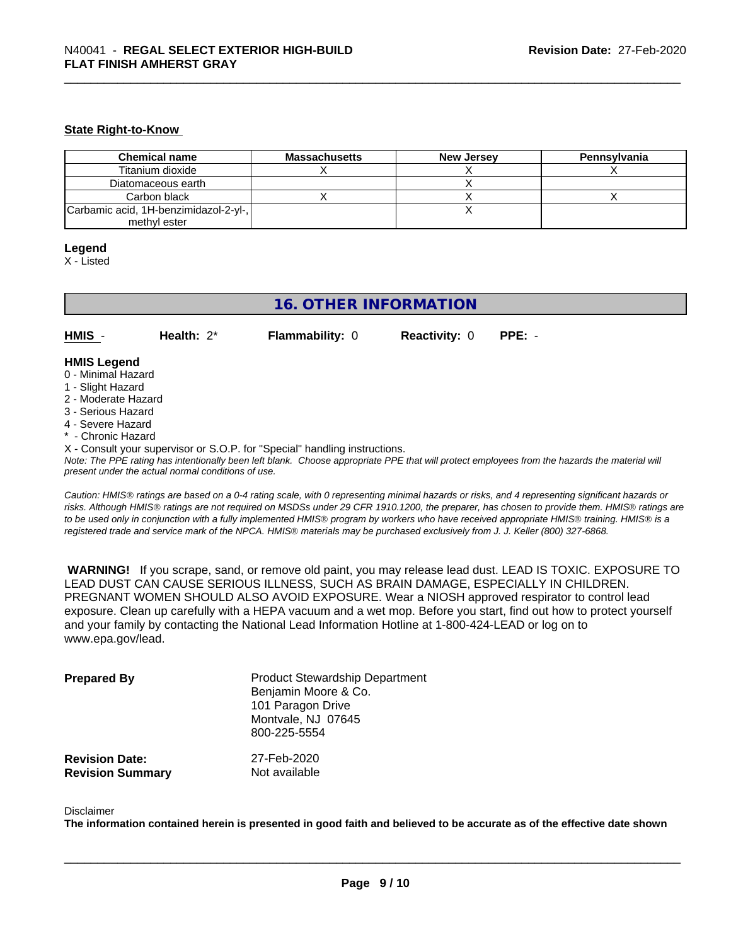#### **State Right-to-Know**

| <b>Chemical name</b>                  | <b>Massachusetts</b> | <b>New Jersey</b> | Pennsylvania |
|---------------------------------------|----------------------|-------------------|--------------|
| Titanium dioxide                      |                      |                   |              |
| Diatomaceous earth                    |                      |                   |              |
| Carbon black                          |                      |                   |              |
| Carbamic acid, 1H-benzimidazol-2-yl-, |                      |                   |              |
| methyl ester                          |                      |                   |              |

#### **Legend**

X - Listed

# **16. OTHER INFORMATION**

**HMIS** - **Health:** 2\* **Flammability:** 0 **Reactivity:** 0 **PPE:** -

#### **HMIS Legend**

- 0 Minimal Hazard
- 1 Slight Hazard
- 2 Moderate Hazard
- 3 Serious Hazard
- 4 Severe Hazard
- Chronic Hazard
- X Consult your supervisor or S.O.P. for "Special" handling instructions.

*Note: The PPE rating has intentionally been left blank. Choose appropriate PPE that will protect employees from the hazards the material will present under the actual normal conditions of use.*

*Caution: HMISÒ ratings are based on a 0-4 rating scale, with 0 representing minimal hazards or risks, and 4 representing significant hazards or risks. Although HMISÒ ratings are not required on MSDSs under 29 CFR 1910.1200, the preparer, has chosen to provide them. HMISÒ ratings are to be used only in conjunction with a fully implemented HMISÒ program by workers who have received appropriate HMISÒ training. HMISÒ is a registered trade and service mark of the NPCA. HMISÒ materials may be purchased exclusively from J. J. Keller (800) 327-6868.*

 **WARNING!** If you scrape, sand, or remove old paint, you may release lead dust. LEAD IS TOXIC. EXPOSURE TO LEAD DUST CAN CAUSE SERIOUS ILLNESS, SUCH AS BRAIN DAMAGE, ESPECIALLY IN CHILDREN. PREGNANT WOMEN SHOULD ALSO AVOID EXPOSURE. Wear a NIOSH approved respirator to control lead exposure. Clean up carefully with a HEPA vacuum and a wet mop. Before you start, find out how to protect yourself and your family by contacting the National Lead Information Hotline at 1-800-424-LEAD or log on to www.epa.gov/lead.

| <b>Prepared By</b>      | <b>Product Stewardship Department</b><br>Benjamin Moore & Co.<br>101 Paragon Drive<br>Montvale, NJ 07645<br>800-225-5554 |
|-------------------------|--------------------------------------------------------------------------------------------------------------------------|
| <b>Revision Date:</b>   | 27-Feb-2020                                                                                                              |
| <b>Revision Summary</b> | Not available                                                                                                            |

#### Disclaimer

The information contained herein is presented in good faith and believed to be accurate as of the effective date shown